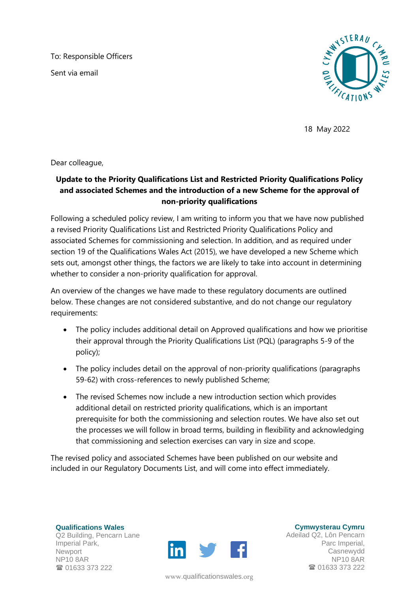To: Responsible Officers

Sent via email



18 May 2022

Dear colleague,

## **Update to the Priority Qualifications List and Restricted Priority Qualifications Policy and associated Schemes and the introduction of a new Scheme for the approval of non-priority qualifications**

Following a scheduled policy review, I am writing to inform you that we have now published a revised Priority Qualifications List and Restricted Priority Qualifications Policy and associated Schemes for commissioning and selection. In addition, and as required under section 19 of the Qualifications Wales Act (2015), we have developed a new Scheme which sets out, amongst other things, the factors we are likely to take into account in determining whether to consider a non-priority qualification for approval.

An overview of the changes we have made to these regulatory documents are outlined below. These changes are not considered substantive, and do not change our regulatory requirements:

- The policy includes additional detail on Approved qualifications and how we prioritise their approval through the Priority Qualifications List (PQL) (paragraphs 5-9 of the policy);
- The policy includes detail on the approval of non-priority qualifications (paragraphs 59-62) with cross-references to newly published Scheme;
- The revised Schemes now include a new introduction section which provides additional detail on restricted priority qualifications, which is an important prerequisite for both the commissioning and selection routes. We have also set out the processes we will follow in broad terms, building in flexibility and acknowledging that commissioning and selection exercises can vary in size and scope.

The revised policy and associated Schemes have been published on our website and included in our Regulatory Documents List, and will come into effect immediately.

**Qualifications Wales** Q2 Building, Pencarn Lane Imperial Park, Newport NP10 8AR **雷 01633 373 222** 



www.[qualificationswales](http://qualificationswales.org/Splash).org

**Cymwysterau Cymru**

Adeilad Q2, Lôn Pencarn Parc Imperial, Casnewydd NP10 8AR **■ 01633 373 222**